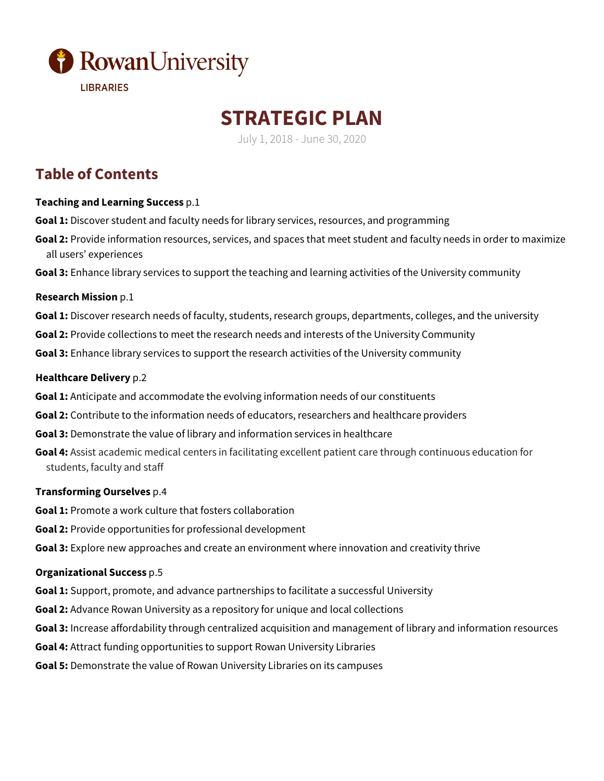

# **STRATEGIC PLAN**

July 1, 2018 - June 30, 2020

## **Table of Contents**

#### **Teaching and Learning Success** p.1

- **Goal 1:** Discover student and faculty needs for library services, resources, and programming
- **Goal 2:** Provide information resources, services, and spaces that meet student and faculty needs in order to maximize all users' experiences
- **Goal 3:** Enhance library services to support the teaching and learning activities of the University community

#### **Research Mission** p.1

- **Goal 1:** Discover research needs of faculty, students, research groups, departments, colleges, and the university
- **Goal 2:** Provide collections to meet the research needs and interests of the University Community
- **Goal 3:** Enhance library services to support the research activities of the University community

#### **Healthcare Delivery** p.2

- **Goal 1:** Anticipate and accommodate the evolving information needs of our constituents
- **Goal 2:** Contribute to the information needs of educators, researchers and healthcare providers
- **Goal 3:** Demonstrate the value of library and information services in healthcare
- **Goal 4:** Assist academic medical centers in facilitating excellent patient care through continuous education for students, faculty and staff

#### **Transforming Ourselves** p.4

- **Goal 1:** Promote a work culture that fosters collaboration
- **Goal 2:** Provide opportunities for professional development
- **Goal 3:** Explore new approaches and create an environment where innovation and creativity thrive

#### **Organizational Success** p.5

- **Goal 1:** Support, promote, and advance partnerships to facilitate a successful University
- **Goal 2:** Advance Rowan University as a repository for unique and local collections
- **Goal 3:** Increase affordability through centralized acquisition and management of library and information resources
- **Goal 4:** Attract funding opportunities to support Rowan University Libraries
- **Goal 5:** Demonstrate the value of Rowan University Libraries on its campuses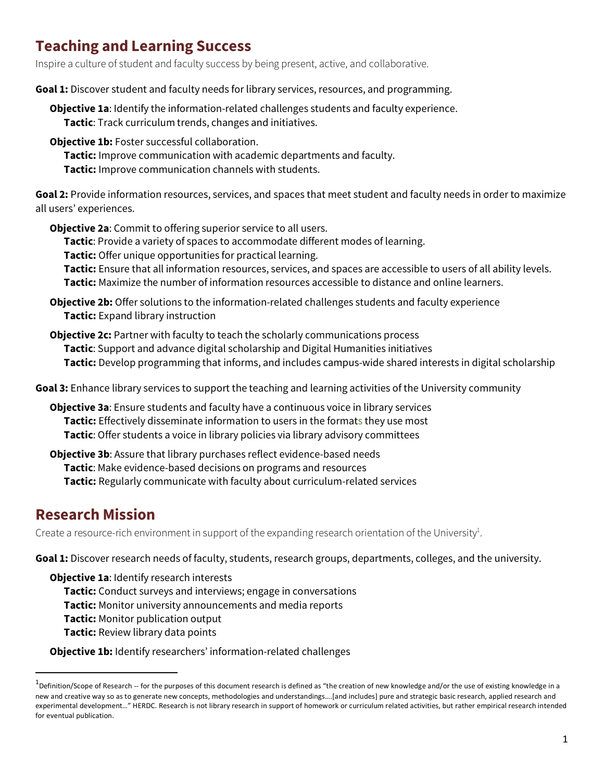## **Teaching and Learning Success**

Inspire a culture of student and faculty success by being present, active, and collaborative.

**Goal 1:** Discover student and faculty needs for library services, resources, and programming.

**Objective 1a**: Identify the information-related challenges students and faculty experience. **Tactic**: Track curriculum trends, changes and initiatives.

- **Objective 1b:** Foster successful collaboration.
	- **Tactic:** Improve communication with academic departments and faculty.
	- **Tactic:** Improve communication channels with students.

**Goal 2:** Provide information resources, services, and spaces that meet student and faculty needs in order to maximize all users' experiences.

**Objective 2a**: Commit to offering superior service to all users.

**Tactic**: Provide a variety of spaces to accommodate different modes of learning.

**Tactic:** Offer unique opportunities for practical learning.

**Tactic:** Ensure that all information resources, services, and spaces are accessible to users of all ability levels. **Tactic:** Maximize the number of information resources accessible to distance and online learners.

**Objective 2b:** Offer solutions to the information-related challenges students and faculty experience **Tactic:** Expand library instruction

**Objective 2c:** Partner with faculty to teach the scholarly communications process **Tactic**: Support and advance digital scholarship and Digital Humanities initiatives **Tactic:** Develop programming that informs, and includes campus-wide shared interests in digital scholarship

**Goal 3:** Enhance library services to support the teaching and learning activities of the University community

**Objective 3a**: Ensure students and faculty have a continuous voice in library services **Tactic:** Effectively disseminate information to users in the formats they use most **Tactic**: Offer students a voice in library policies via library advisory committees

**Objective 3b**: Assure that library purchases reflect evidence-based needs **Tactic**: Make evidence-based decisions on programs and resources **Tactic:** Regularly communicate with faculty about curriculum-related services

### **Research Mission**

Create a resource-rich environment in support of the expanding research orientation of the University<sup>1</sup>.

**Goal 1:** Discover research needs of faculty, students, research groups, departments, colleges, and the university.

**Objective 1a**: Identify research interests **Tactic:** Conduct surveys and interviews; engage in conversations **Tactic:** Monitor university announcements and media reports **Tactic:** Monitor publication output **Tactic:** Review library data points

**Objective 1b:** Identify researchers' information-related challenges

 $\overline{1}$  $^{\text{1}}$ Definition/Scope of Research -- for the purposes of this document research is defined as "the creation of new knowledge and/or the use of existing knowledge in a new and creative way so as to generate new concepts, methodologies and understandings….[and includes] pure and strategic basic research, applied research and experimental development…" HERDC. Research is not library research in support of homework or curriculum related activities, but rather empirical research intended for eventual publication.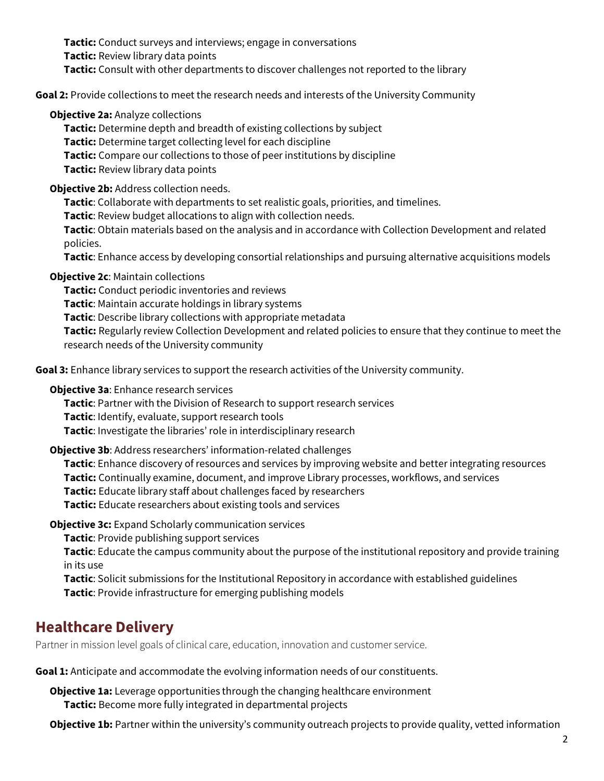**Tactic:** Conduct surveys and interviews; engage in conversations **Tactic:** Review library data points **Tactic:** Consult with other departments to discover challenges not reported to the library

**Goal 2:** Provide collections to meet the research needs and interests of the University Community

#### **Objective 2a: Analyze collections**

**Tactic:** Determine depth and breadth of existing collections by subject **Tactic:** Determine target collecting level for each discipline **Tactic:** Compare our collections to those of peer institutions by discipline **Tactic:** Review library data points

#### **Objective 2b:** Address collection needs.

**Tactic**: Collaborate with departments to set realistic goals, priorities, and timelines.

**Tactic**: Review budget allocations to align with collection needs.

**Tactic**: Obtain materials based on the analysis and in accordance with Collection Development and related policies.

**Tactic**: Enhance access by developing consortial relationships and pursuing alternative acquisitions models

#### **Objective 2c**: Maintain collections

**Tactic:** Conduct periodic inventories and reviews **Tactic**: Maintain accurate holdings in library systems **Tactic**: Describe library collections with appropriate metadata **Tactic:** Regularly review Collection Development and related policies to ensure that they continue to meet the research needs of the University community

**Goal 3:** Enhance library services to support the research activities of the University community.

**Objective 3a**: Enhance research services

**Tactic**: Partner with the Division of Research to support research services **Tactic**: Identify, evaluate, support research tools **Tactic**: Investigate the libraries' role in interdisciplinary research

#### **Objective 3b**: Address researchers' information-related challenges

**Tactic**: Enhance discovery of resources and services by improving website and better integrating resources **Tactic:** Continually examine, document, and improve Library processes, workflows, and services **Tactic:** Educate library staff about challenges faced by researchers **Tactic:** Educate researchers about existing tools and services

**Objective 3c:** Expand Scholarly communication services

**Tactic**: Provide publishing support services

**Tactic**: Educate the campus community about the purpose of the institutional repository and provide training in its use

**Tactic**: Solicit submissions for the Institutional Repository in accordance with established guidelines **Tactic**: Provide infrastructure for emerging publishing models

### **Healthcare Delivery**

Partner in mission level goals of clinical care, education, innovation and customer service.

**Goal 1:** Anticipate and accommodate the evolving information needs of our constituents.

**Objective 1a:** Leverage opportunities through the changing healthcare environment **Tactic:** Become more fully integrated in departmental projects

**Objective 1b:** Partner within the university's community outreach projects to provide quality, vetted information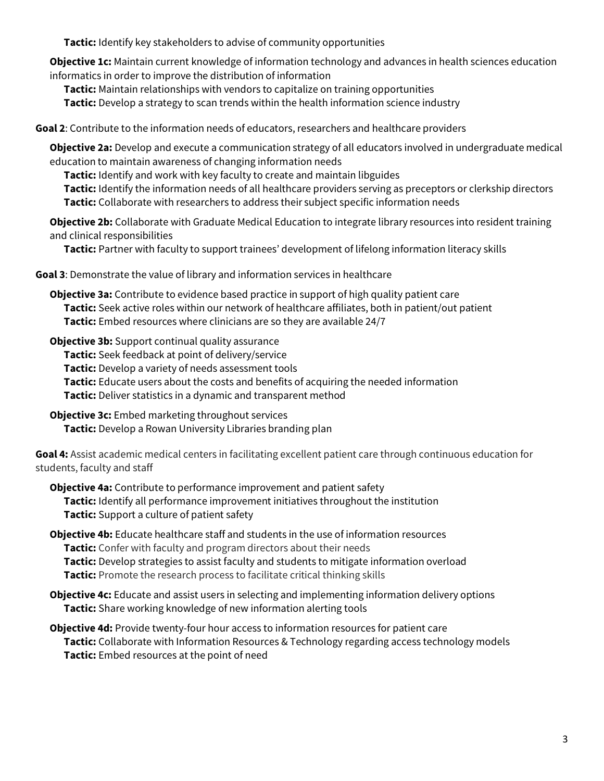**Tactic:** Identify key stakeholders to advise of community opportunities

**Objective 1c:** Maintain current knowledge of information technology and advances in health sciences education informatics in order to improve the distribution of information

**Tactic:** Maintain relationships with vendors to capitalize on training opportunities

**Tactic:** Develop a strategy to scan trends within the health information science industry

**Goal 2**: Contribute to the information needs of educators, researchers and healthcare providers

**Objective 2a:** Develop and execute a communication strategy of all educators involved in undergraduate medical education to maintain awareness of changing information needs

**Tactic:** Identify and work with key faculty to create and maintain libguides

**Tactic:** Identify the information needs of all healthcare providers serving as preceptors or clerkship directors **Tactic:** Collaborate with researchers to address their subject specific information needs

**Objective 2b:** Collaborate with Graduate Medical Education to integrate library resources into resident training and clinical responsibilities

**Tactic:** Partner with faculty to support trainees' development of lifelong information literacy skills

**Goal 3**: Demonstrate the value of library and information services in healthcare

**Objective 3a:** Contribute to evidence based practice in support of high quality patient care **Tactic:** Seek active roles within our network of healthcare affiliates, both in patient/out patient **Tactic:** Embed resources where clinicians are so they are available 24/7

**Objective 3b:** Support continual quality assurance **Tactic:** Seek feedback at point of delivery/service **Tactic:** Develop a variety of needs assessment tools **Tactic:** Educate users about the costs and benefits of acquiring the needed information **Tactic:** Deliver statistics in a dynamic and transparent method

**Objective 3c:** Embed marketing throughout services **Tactic:** Develop a Rowan University Libraries branding plan

**Goal 4:** Assist academic medical centers in facilitating excellent patient care through continuous education for students, faculty and staff

**Objective 4a:** Contribute to performance improvement and patient safety **Tactic:** Identify all performance improvement initiatives throughout the institution **Tactic:** Support a culture of patient safety

**Objective 4b:** Educate healthcare staff and students in the use of information resources **Tactic:** Confer with faculty and program directors about their needs **Tactic:** Develop strategies to assist faculty and students to mitigate information overload **Tactic:** Promote the research process to facilitate critical thinking skills

**Objective 4c:** Educate and assist users in selecting and implementing information delivery options **Tactic:** Share working knowledge of new information alerting tools

**Objective 4d:** Provide twenty-four hour access to information resources for patient care **Tactic:** Collaborate with Information Resources & Technology regarding access technology models **Tactic:** Embed resources at the point of need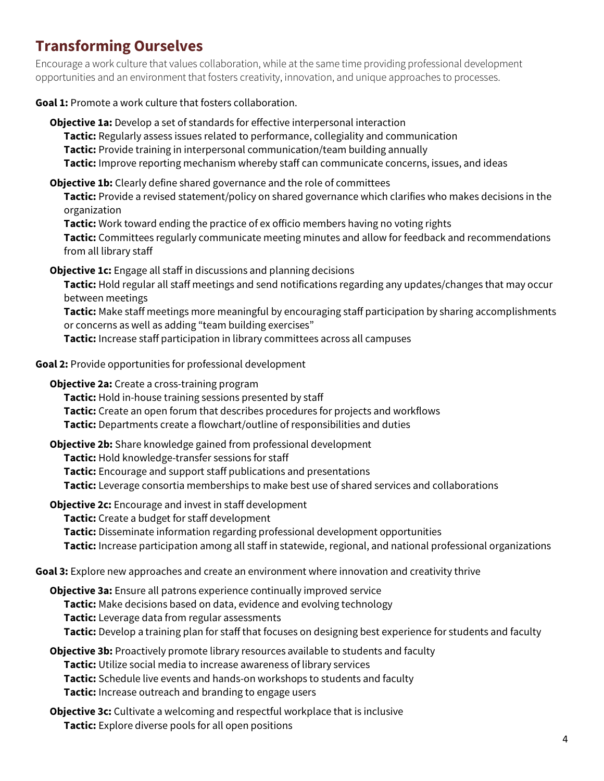### **Transforming Ourselves**

Encourage a work culture that values collaboration, while at the same time providing professional development opportunities and an environment that fosters creativity, innovation, and unique approaches to processes.

**Goal 1:** Promote a work culture that fosters collaboration.

**Objective 1a:** Develop a set of standards for effective interpersonal interaction **Tactic:** Regularly assess issues related to performance, collegiality and communication **Tactic:** Provide training in interpersonal communication/team building annually **Tactic:** Improve reporting mechanism whereby staff can communicate concerns, issues, and ideas

**Objective 1b:** Clearly define shared governance and the role of committees

**Tactic:** Provide a revised statement/policy on shared governance which clarifies who makes decisions in the organization

**Tactic:** Work toward ending the practice of ex officio members having no voting rights **Tactic:** Committees regularly communicate meeting minutes and allow for feedback and recommendations from all library staff

**Objective 1c:** Engage all staff in discussions and planning decisions

**Tactic:** Hold regular all staff meetings and send notifications regarding any updates/changes that may occur between meetings

**Tactic:** Make staff meetings more meaningful by encouraging staff participation by sharing accomplishments or concerns as well as adding "team building exercises"

**Tactic:** Increase staff participation in library committees across all campuses

**Goal 2:** Provide opportunities for professional development

**Objective 2a:** Create a cross-training program

**Tactic:** Hold in-house training sessions presented by staff

**Tactic:** Create an open forum that describes procedures for projects and workflows

**Tactic:** Departments create a flowchart/outline of responsibilities and duties

**Objective 2b:** Share knowledge gained from professional development

**Tactic:** Hold knowledge-transfer sessions for staff

**Tactic:** Encourage and support staff publications and presentations

**Tactic:** Leverage consortia memberships to make best use of shared services and collaborations

**Objective 2c:** Encourage and invest in staff development

**Tactic:** Create a budget for staff development

**Tactic:** Disseminate information regarding professional development opportunities

**Tactic:** Increase participation among all staff in statewide, regional, and national professional organizations

**Goal 3:** Explore new approaches and create an environment where innovation and creativity thrive

**Objective 3a:** Ensure all patrons experience continually improved service **Tactic:** Make decisions based on data, evidence and evolving technology **Tactic:** Leverage data from regular assessments **Tactic:** Develop a training plan for staff that focuses on designing best experience for students and faculty

**Objective 3b:** Proactively promote library resources available to students and faculty **Tactic:** Utilize social media to increase awareness of library services **Tactic:** Schedule live events and hands-on workshops to students and faculty **Tactic:** Increase outreach and branding to engage users

**Objective 3c:** Cultivate a welcoming and respectful workplace that is inclusive **Tactic:** Explore diverse pools for all open positions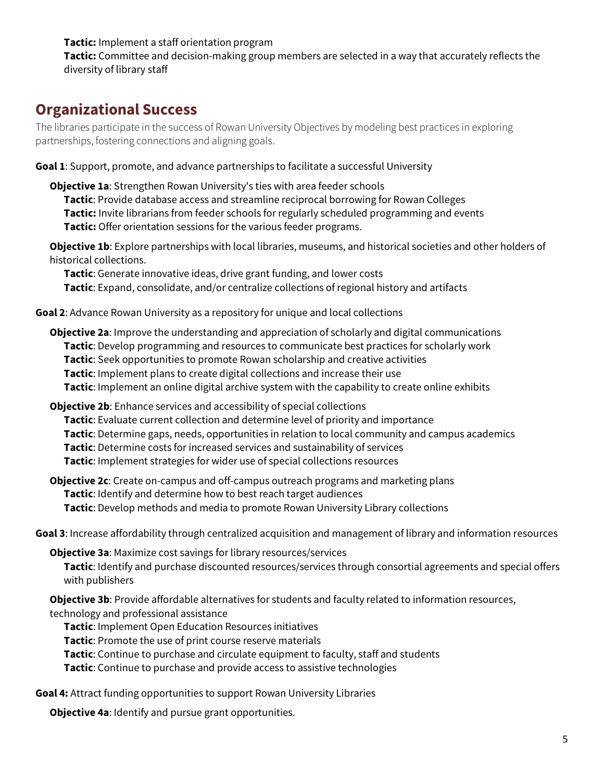**Tactic:** Implement a staff orientation program

**Tactic:** Committee and decision-making group members are selected in a way that accurately reflects the diversity of library staff

### **Organizational Success**

The libraries participate in the success of Rowan University Objectives by modeling best practices in exploring partnerships, fostering connections and aligning goals.

**Goal 1**: Support, promote, and advance partnerships to facilitate a successful University

**Objective 1a**: Strengthen Rowan University's ties with area feeder schools **Tactic**: Provide database access and streamline reciprocal borrowing for Rowan Colleges **Tactic:** Invite librarians from feeder schools for regularly scheduled programming and events **Tactic:** Offer orientation sessions for the various feeder programs.

**Objective 1b**: Explore partnerships with local libraries, museums, and historical societies and other holders of historical collections.

**Tactic**: Generate innovative ideas, drive grant funding, and lower costs **Tactic**: Expand, consolidate, and/or centralize collections of regional history and artifacts

**Goal 2**: Advance Rowan University as a repository for unique and local collections

**Objective 2a**: Improve the understanding and appreciation of scholarly and digital communications **Tactic**: Develop programming and resources to communicate best practices for scholarly work **Tactic**: Seek opportunities to promote Rowan scholarship and creative activities **Tactic**: Implement plans to create digital collections and increase their use **Tactic**: Implement an online digital archive system with the capability to create online exhibits

**Objective 2b**: Enhance services and accessibility of special collections **Tactic**: Evaluate current collection and determine level of priority and importance **Tactic**: Determine gaps, needs, opportunities in relation to local community and campus academics **Tactic**: Determine costs for increased services and sustainability of services **Tactic**: Implement strategies for wider use of special collections resources

**Objective 2c**: Create on-campus and off-campus outreach programs and marketing plans **Tactic**: Identify and determine how to best reach target audiences **Tactic**: Develop methods and media to promote Rowan University Library collections

**Goal 3**: Increase affordability through centralized acquisition and management of library and information resources

**Objective 3a**: Maximize cost savings for library resources/services **Tactic**: Identify and purchase discounted resources/services through consortial agreements and special offers with publishers

**Objective 3b**: Provide affordable alternatives for students and faculty related to information resources, technology and professional assistance

**Tactic**: Implement Open Education Resources initiatives

**Tactic**: Promote the use of print course reserve materials

**Tactic**: Continue to purchase and circulate equipment to faculty, staff and students

**Tactic**: Continue to purchase and provide access to assistive technologies

**Goal 4:** Attract funding opportunities to support Rowan University Libraries

**Objective 4a**: Identify and pursue grant opportunities.